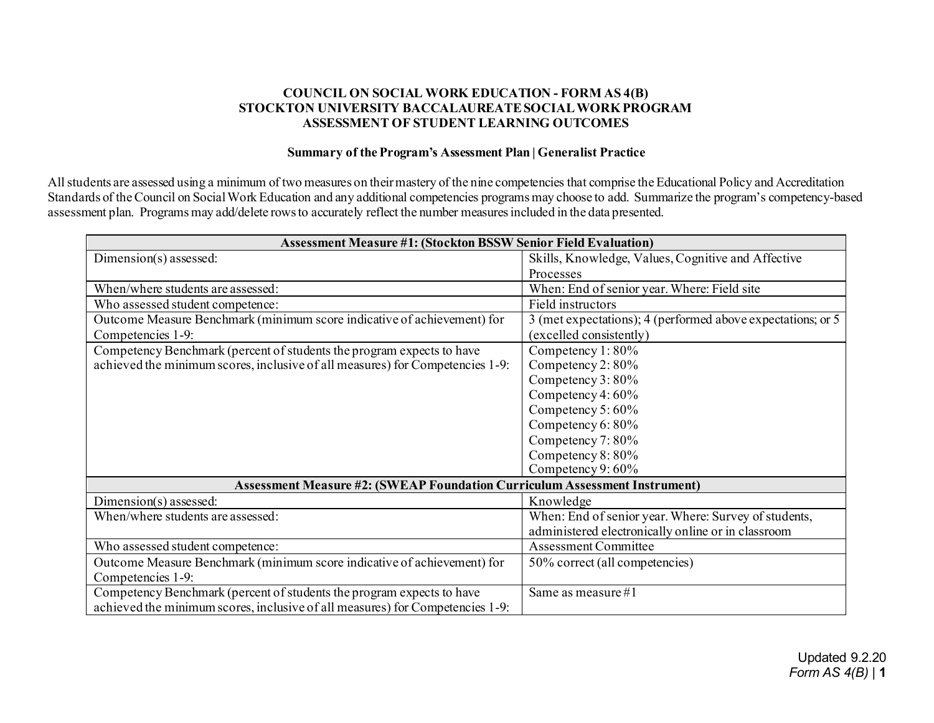## **COUNCIL ON SOCIAL WORK EDUCATION - FORM AS 4(B) STOCKTON UNIVERSITY BACCALAUREATE SOCIAL WORK PROGRAM ASSESSMENT OF STUDENT LEARNING OUTCOMES**

## **Summary of the Program's Assessment Plan | Generalist Practice**

Allstudents are assessed using a minimum of two measures on their mastery of the nine competencies that comprise the Educational Policy and Accreditation Standards of the Council on Social Work Education and any additional competencies programs may choose to add. Summarize the program's competency-based assessment plan. Programs may add/delete rows to accurately reflect the number measures included in the data presented.

| <b>Assessment Measure #1: (Stockton BSSW Senior Field Evaluation)</b>             |                                                             |  |  |  |
|-----------------------------------------------------------------------------------|-------------------------------------------------------------|--|--|--|
| Dimension(s) assessed:                                                            | Skills, Knowledge, Values, Cognitive and Affective          |  |  |  |
|                                                                                   | Processes                                                   |  |  |  |
| When/where students are assessed:                                                 | When: End of senior year. Where: Field site                 |  |  |  |
| Who assessed student competence:                                                  | Field instructors                                           |  |  |  |
| Outcome Measure Benchmark (minimum score indicative of achievement) for           | 3 (met expectations); 4 (performed above expectations; or 5 |  |  |  |
| Competencies 1-9:                                                                 | (excelled consistently)                                     |  |  |  |
| Competency Benchmark (percent of students the program expects to have             | Competency 1:80%                                            |  |  |  |
| achieved the minimum scores, inclusive of all measures) for Competencies 1-9:     | Competency 2:80%                                            |  |  |  |
|                                                                                   | Competency 3:80%                                            |  |  |  |
|                                                                                   | Competency $4:60\%$                                         |  |  |  |
|                                                                                   | Competency 5:60%                                            |  |  |  |
|                                                                                   | Competency 6: 80%                                           |  |  |  |
|                                                                                   | Competency 7: 80%                                           |  |  |  |
|                                                                                   | Competency 8:80%                                            |  |  |  |
|                                                                                   | Competency 9: 60%                                           |  |  |  |
| <b>Assessment Measure #2: (SWEAP Foundation Curriculum Assessment Instrument)</b> |                                                             |  |  |  |
| Dimension(s) assessed:                                                            | Knowledge                                                   |  |  |  |
| When/where students are assessed:                                                 | When: End of senior year. Where: Survey of students,        |  |  |  |
|                                                                                   | administered electronically online or in classroom          |  |  |  |
| Who assessed student competence:                                                  | <b>Assessment Committee</b>                                 |  |  |  |
| Outcome Measure Benchmark (minimum score indicative of achievement) for           | 50% correct (all competencies)                              |  |  |  |
| Competencies 1-9:                                                                 |                                                             |  |  |  |
| Competency Benchmark (percent of students the program expects to have             | Same as measure $#1$                                        |  |  |  |
| achieved the minimum scores, inclusive of all measures) for Competencies 1-9:     |                                                             |  |  |  |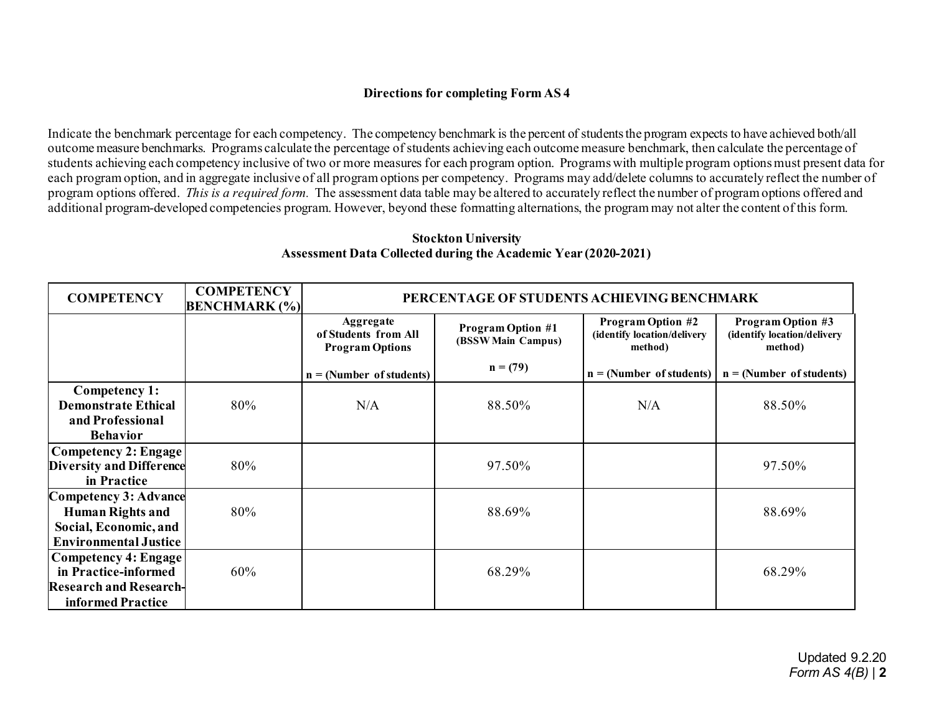## **Directions for completing Form AS 4**

Indicate the benchmark percentage for each competency. The competency benchmark is the percent of students the program expects to have achieved both/all outcome measure benchmarks. Programs calculate the percentage of students achieving each outcome measure benchmark, then calculate the percentage of students achieving each competency inclusive of two or more measures for each program option. Programs with multiple program options must present data for each program option, and in aggregate inclusive of all program options per competency. Programs may add/delete columns to accurately reflect the number of program options offered. *This is a required form.* The assessment data table may be altered to accurately reflect the number of program options offered and additional program-developed competencies program. However, beyond these formatting alternations, the programmay not alter the content of this form.

| <b>COMPETENCY</b>                                       | <b>COMPETENCY</b><br><b>BENCHMARK</b> (%) | PERCENTAGE OF STUDENTS ACHIEVING BENCHMARK                         |                                                |                                                                    |                                                                    |
|---------------------------------------------------------|-------------------------------------------|--------------------------------------------------------------------|------------------------------------------------|--------------------------------------------------------------------|--------------------------------------------------------------------|
|                                                         |                                           | <b>Aggregate</b><br>of Students from All<br><b>Program Options</b> | <b>Program Option #1</b><br>(BSSW Main Campus) | <b>Program Option #2</b><br>(identify location/delivery<br>method) | <b>Program Option #3</b><br>(identify location/delivery<br>method) |
|                                                         |                                           | $n = (Number of students)$                                         | $n = (79)$                                     | $n = (Number of students)$                                         | $n = (Number of students)$                                         |
| Competency 1:                                           |                                           |                                                                    |                                                |                                                                    |                                                                    |
| <b>Demonstrate Ethical</b>                              | 80%                                       | N/A                                                                | 88.50%                                         | N/A                                                                | 88.50%                                                             |
| and Professional                                        |                                           |                                                                    |                                                |                                                                    |                                                                    |
| <b>Behavior</b>                                         |                                           |                                                                    |                                                |                                                                    |                                                                    |
| Competency 2: Engage<br><b>Diversity and Difference</b> | 80%                                       |                                                                    | 97.50%                                         |                                                                    | 97.50%                                                             |
| in Practice                                             |                                           |                                                                    |                                                |                                                                    |                                                                    |
| <b>Competency 3: Advance</b>                            |                                           |                                                                    |                                                |                                                                    |                                                                    |
| <b>Human Rights and</b>                                 | 80%                                       |                                                                    | 88.69%                                         |                                                                    | 88.69%                                                             |
| Social, Economic, and                                   |                                           |                                                                    |                                                |                                                                    |                                                                    |
| <b>Environmental Justice</b>                            |                                           |                                                                    |                                                |                                                                    |                                                                    |
| Competency 4: Engage                                    |                                           |                                                                    |                                                |                                                                    |                                                                    |
| in Practice-informed                                    | 60%                                       |                                                                    | 68.29%                                         |                                                                    | 68.29%                                                             |
| <b>Research and Research-</b>                           |                                           |                                                                    |                                                |                                                                    |                                                                    |
| informed Practice                                       |                                           |                                                                    |                                                |                                                                    |                                                                    |

## **Stockton University Assessment Data Collected during the Academic Year (2020-2021)**

Updated 9.2.20 *Form AS 4(B)* | **2**